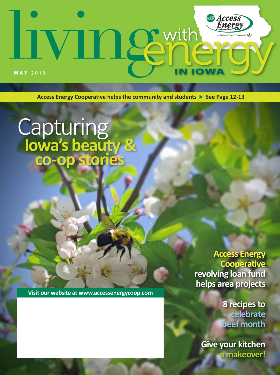# **Access**<br>Energy **In Semith**  $\sqrt{2}$ MAY **2019**

Access Energy Cooperative helps the community and students  $\triangleright$  See Page 12-13

# **Capturing Iowa's beauty & co-op stories**

**Access Energy Cooperative revolving loan fund helps area projects** 

**Visit our website at www.accessenergycoop.com**

**8 recipes to celebrate beef month**

**Give your kitchen a makeover!**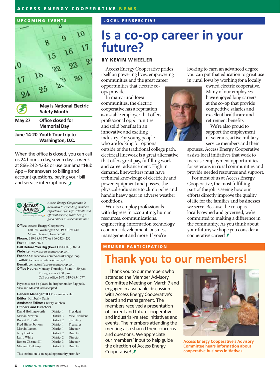#### **ACCESS ENERGY COOPERATIVE NEWS**



When the office is closed, you can call us 24 hours a day, seven days a week at 866-242-4232 or use our SmartHub App – for answers to billing and account questions, paying your bill and service interruptions.



*Access Energy Cooperative is dedicated to exceeding members' expectations for safe, reliable and efficient service, while being a good citizen in our communities.*

**Office:** Access Energy Cooperative 1800 W. Washington St., P.O. Box 440 Mount Pleasant, Iowa 52641 **Phone:** 319-385-1577 or 866-242-4232 **Fax:** 319-385-6873 **Call Before You Dig (Iowa One Call):** 8-1-1

**Website:** www.accessenergycoop.com **Facebook:** facebook.com/AccessEnergyCoop **Twitter:** twitter.com/AccessEnergyC **E-mail:** contactus@accessenergycoop.com **Office Hours:** Monday-Thursday, 7 a.m.-4:30 p.m. Friday, 7 a.m.-3:30 p.m. Call our office 24/7: 319-385-1577.

Payments can be placed in dropbox under flag pole. Visa and MasterCard accepted.

**General Manager/CEO:** Kevin Wheeler **Editor:** Kimberly Davis **Assistant Editor:** Cherity Wibben **Officers and Directors:** David Hollingsworth District 1 President

| Marvin Newton            | District 3 | <b>Vice President</b> |
|--------------------------|------------|-----------------------|
| Robert P. Smith          | District 2 | Secretary             |
| <b>Fred Hickenbottom</b> | District 1 | Treasurer             |
| Marvin Larson            | District 1 | Director              |
| Jerry Barker             | District 2 | Director              |
| Larry White              | District 2 | Director              |
| Robert Chesnut III       | District 3 | Director              |
| Marvin Holtkamp          | District 3 | Director              |
|                          |            |                       |

This institution is an equal opportunity provider.

#### **LOCAL PERSPECTIVE**

# **Is a co-op career in your future?**

#### **BY KEVIN WHEELER**

Access Energy Cooperative prides itself on powering lives, empowering communities and the great career opportunities that electric co-

ops provide.

In many rural Iowa communities, the electric cooperative has a reputation as a stable employer that offers professional opportunities and solid benefits in an innovative and exciting industry. For young people who are looking for options

outside of the traditional college path, electrical linework is a great alternative that offers great pay, fulfilling work and career advancement. High in demand, lineworkers must have technical knowledge of electricity and power equipment and possess the physical endurance to climb poles and handle heavy gear in adverse weather conditions.

We also employ professionals with degrees in accounting, human resources, communications, engineering, information technology, economic development, business management and more. If you're

#### **MEMBER PARTICIPATION**

looking to earn an advanced degree, you can put that education to great use in rural Iowa by working for a locally

owned electric cooperative. Many of our employees have enjoyed long careers at the co-op that provide competitive salaries and excellent healthcare and retirement benefits

We're also proud to support the employment of veterans, active military service members and their

spouses. Access Energy Cooperative assists local initiatives that work to increase employment opportunities for veterans in rural communities and provide needed resources and support.

For most of us at Access Energy Cooperative, the most fulfilling part of the job is seeing how our efforts directly improve the quality of life for the families and businesses we serve. Because the co-op is locally owned and governed, we're committed to making a difference in the community. As you think about your future, we hope you consider a cooperative career! *≸* 

## **Thank you to our members!**

Thank you to our members who attended the Member Advisory Committee Meeting on March 7 and engaged in a valuable discussion with Access Energy Cooperative's board and management. The members received a presentation of current and future cooperative and industrial-related initiatives and events. The members attending the meeting also shared their concerns and questions. We appreciate our members' input to help guide the direction of Access Energy Cooperative! <del></del>



**Access Energy Cooperative's Advisory Committee hears information about cooperative business initiatives.**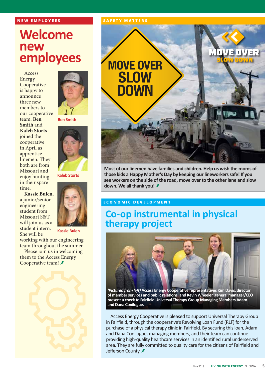#### **NEW EMPLOYEES**

# **Welcome new employees**

Access Energy **Cooperative** is happy to announce three new members to our cooperative team. **Ben Smith** and **Kaleb Storts** joined the cooperative in April as apprentice linemen. They both are from Missouri and enjoy hunting in their spare time.





**Kaleb Storts**

**Ben Smith**

**Kassie Bulen**

working with our engineering team throughout the summer.

Please join us in welcoming them to the Access Energy Cooperative team! *≸* 



#### **SAFETY MATTERS**



**Most of our linemen have families and children. Help us wish the moms of those kids a Happy Mother's Day by keeping our lineworkers safe! If you see workers on the side of the road, move over to the other lane and slow down. We all thank you!** 

#### **ECONOMIC DEVELOPMENT**

### **Co-op instrumental in physical therapy project**



**of member services and public relations, and Kevin Wheeler, general manager/CEO present a check to Fairfield Universal Therapy Group Managing Members Adam and Dana Conilogue.** 

Access Energy Cooperative is pleased to support Universal Therapy Group in Fairfield, through the cooperative's Revolving Loan Fund (RLF) for the purchase of a physical therapy clinic in Fairfield. By securing this loan, Adam and Dana Conilogue, managing members, and their team can continue providing high-quality healthcare services in an identified rural underserved area. They are fully committed to quality care for the citizens of Fairfield and Jefferson County. **៛**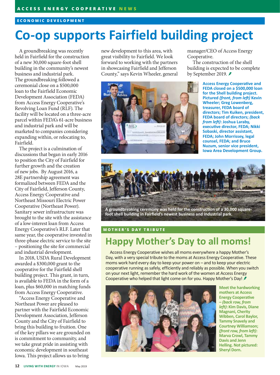#### **ECONOMIC DEVELOPMENT**

# **Co-op supports Fairfield building project**

A groundbreaking was recently held in Fairfield for the construction of a new 30,000 square-foot shell building in the community's newest business and industrial park. The groundbreaking followed a ceremonial close on a \$500,000 loan to the Fairfield Economic Development Association (FEDA) from Access Energy Cooperative's Revolving Loan Fund (RLF). The facility will be located on a three-acre parcel within FEDA's 61-acre business and industrial park and will be marketed to companies considering expanding within, or relocating to, Fairfield.

The project is a culmination of discussions that began in early 2016 to position the City of Fairfield for further growth and the creation of new jobs. By August 2016, a 28E partnership agreement was formalized between FEDA and the City of Fairfield, Jefferson County, Access Energy Cooperative and Northeast Missouri Electric Power Cooperative (Northeast Power). Sanitary sewer infrastructure was brought to the site with the assistance of a low-interest loan from Access Energy Cooperative's RLF. Later that same year, the cooperative invested in three-phase electric service to the site – positioning the site for commercial and industrial development.

In 2018, USDA Rural Development awarded a \$300,000 grant to the cooperative for the Fairfield shell building project. This grant, in turn, is available to FEDA in the form of a loan, plus \$60,000 in matching funds from Access Energy Cooperative.

"Access Energy Cooperative and Northeast Power are pleased to partner with the Fairfield Economic Development Association, Jefferson County and the City of Fairfield to bring this building to fruition. One of the key pillars we are grounded on is commitment to community, and we take great pride in assisting with economic development in southeast Iowa. This project allows us to bring

new development to this area, with great visibility to Fairfield. We look forward to working with the partners in showcasing Fairfield and Jefferson County," says Kevin Wheeler, general



manager/CEO of Access Energy Cooperative.

The construction of the shell building is expected to be complete by September 2019.

> **Access Energy Cooperative and FEDA closed on a \$500,000 loan for the Shell building project. Pictured** *(front, from left)* **Kevin Wheeler; Greg Lowenberg, treasurer, FEDA board of directors; Tim Kuiken, president, FEDA board of directors;** *(back from left)***: Joshua Laraby, executive director, FEDA; Nikki Sobaski, director assistant, FEDA; John Morrissey, legal counsel, FEDA; and Bruce Nuzum, senior vice president, Iowa Area Development Group.**



**A groundbreaking ceremony was held for the construction of a 30,000 squarefoot shell building in Fairfield's newest business and industrial park.**

#### **MOTHER'S DAY TRIBUTE**

### **Happy Mother's Day to all moms!**

Access Energy Cooperative wishes all moms everywhere a happy Mother's Day, with a very special tribute to the moms at Access Energy Cooperative. These moms work hard every day to keep your power on – and to keep your electric cooperative running as safely, efficiently and reliably as possible. When you switch on your next light, remember the hard work of the women at Access Energy Cooperative who helped that light come on for you. Happy Mother's Day!



**Meet the hardworking mothers at Access Energy Cooperative –** *(back row, from left)***: Kim Davis, Diane Magnani, Cherity Wibben, Carol Baylor, Tammy Snavely and Courtney Williamson;**  *(front row, from left)***: Marva Crowl, Tammy Davis and Jenn Helling. Not pictured: Sheryl Dorn.**